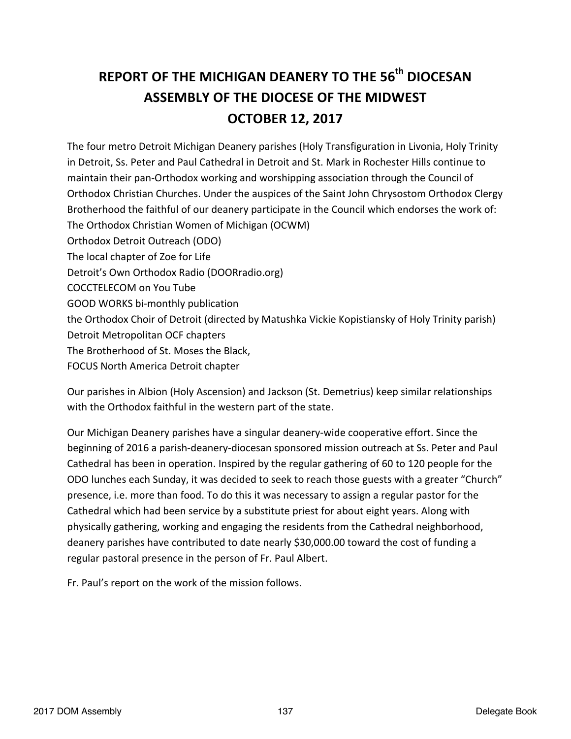# **REPORT OF THE MICHIGAN DEANERY TO THE 56<sup>th</sup> DIOCESAN ASSEMBLY OF THE DIOCESE OF THE MIDWEST OCTOBER 12, 2017**

The four metro Detroit Michigan Deanery parishes (Holy Transfiguration in Livonia, Holy Trinity in Detroit, Ss. Peter and Paul Cathedral in Detroit and St. Mark in Rochester Hills continue to maintain their pan-Orthodox working and worshipping association through the Council of Orthodox Christian Churches. Under the auspices of the Saint John Chrysostom Orthodox Clergy Brotherhood the faithful of our deanery participate in the Council which endorses the work of: The Orthodox Christian Women of Michigan (OCWM) Orthodox Detroit Outreach (ODO) The local chapter of Zoe for Life Detroit's Own Orthodox Radio (DOORradio.org) COCCTELECOM on You Tube GOOD WORKS bi-monthly publication the Orthodox Choir of Detroit (directed by Matushka Vickie Kopistiansky of Holy Trinity parish) Detroit Metropolitan OCF chapters The Brotherhood of St. Moses the Black, FOCUS North America Detroit chapter

Our parishes in Albion (Holy Ascension) and Jackson (St. Demetrius) keep similar relationships with the Orthodox faithful in the western part of the state.

Our Michigan Deanery parishes have a singular deanery-wide cooperative effort. Since the beginning of 2016 a parish-deanery-diocesan sponsored mission outreach at Ss. Peter and Paul Cathedral has been in operation. Inspired by the regular gathering of 60 to 120 people for the ODO lunches each Sunday, it was decided to seek to reach those guests with a greater "Church" presence, i.e. more than food. To do this it was necessary to assign a regular pastor for the Cathedral which had been service by a substitute priest for about eight years. Along with physically gathering, working and engaging the residents from the Cathedral neighborhood, deanery parishes have contributed to date nearly \$30,000.00 toward the cost of funding a regular pastoral presence in the person of Fr. Paul Albert.

Fr. Paul's report on the work of the mission follows.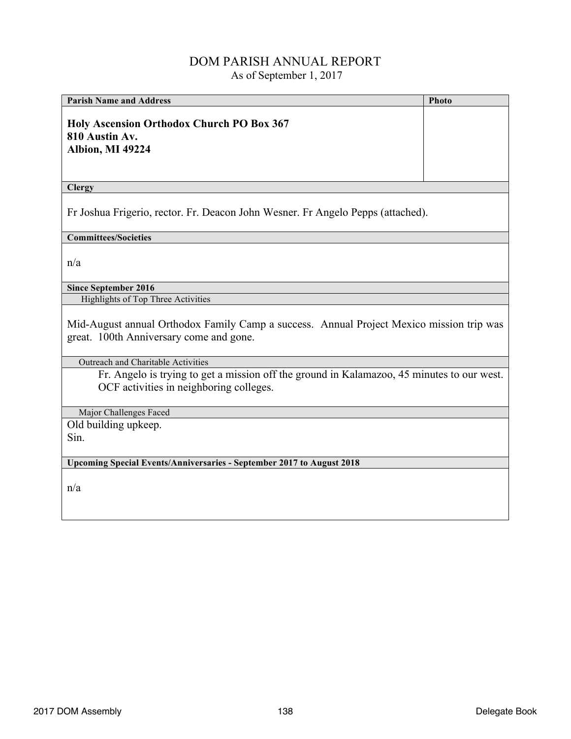#### DOM PARISH ANNUAL REPORT As of September 1, 2017

**Parish Name and Address Photo Photo Photo Photo Holy Ascension Orthodox Church PO Box 367 810 Austin Av. Albion, MI 49224 Clergy** Fr Joshua Frigerio, rector. Fr. Deacon John Wesner. Fr Angelo Pepps (attached). **Committees/Societies** n/a **Since September 2016** Highlights of Top Three Activities Mid-August annual Orthodox Family Camp a success. Annual Project Mexico mission trip was great. 100th Anniversary come and gone. Outreach and Charitable Activities Fr. Angelo is trying to get a mission off the ground in Kalamazoo, 45 minutes to our west. OCF activities in neighboring colleges. Major Challenges Faced Old building upkeep. Sin. **Upcoming Special Events/Anniversaries - September 2017 to August 2018**

n/a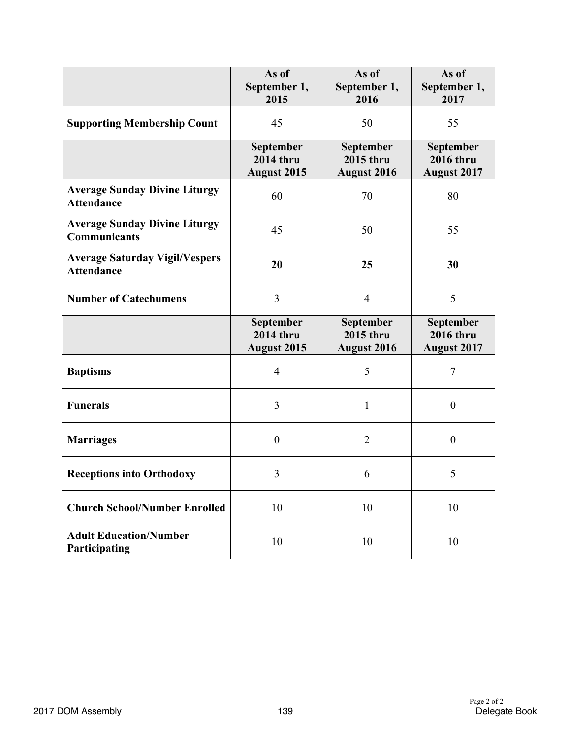|                                                             | As of<br>September 1,<br>2015                       | As of<br>September 1,<br>2016                       | As of<br>September 1,<br>2017                       |
|-------------------------------------------------------------|-----------------------------------------------------|-----------------------------------------------------|-----------------------------------------------------|
| <b>Supporting Membership Count</b>                          | 45                                                  | 50                                                  | 55                                                  |
|                                                             | September<br><b>2014 thru</b><br><b>August 2015</b> | September<br><b>2015 thru</b><br><b>August 2016</b> | September<br><b>2016 thru</b><br><b>August 2017</b> |
| <b>Average Sunday Divine Liturgy</b><br><b>Attendance</b>   | 60                                                  | 70                                                  | 80                                                  |
| <b>Average Sunday Divine Liturgy</b><br><b>Communicants</b> | 45                                                  | 50                                                  | 55                                                  |
| <b>Average Saturday Vigil/Vespers</b><br><b>Attendance</b>  | 20                                                  | 25                                                  | 30                                                  |
| <b>Number of Catechumens</b>                                | 3                                                   | $\overline{4}$                                      | 5                                                   |
|                                                             | September<br>$2014$ thru<br><b>August 2015</b>      | September<br><b>2015 thru</b><br>August 2016        | September<br><b>2016 thru</b><br><b>August 2017</b> |
| <b>Baptisms</b>                                             | $\overline{4}$                                      | 5                                                   | $\overline{7}$                                      |
| <b>Funerals</b>                                             | 3                                                   | 1                                                   | $\boldsymbol{0}$                                    |
| <b>Marriages</b>                                            | $\overline{0}$                                      | $\overline{2}$                                      | $\boldsymbol{0}$                                    |
| <b>Receptions into Orthodoxy</b>                            | 3                                                   | 6                                                   | 5                                                   |
| <b>Church School/Number Enrolled</b>                        | 10                                                  | 10                                                  | 10                                                  |
| <b>Adult Education/Number</b><br>Participating              | 10                                                  | 10                                                  | 10                                                  |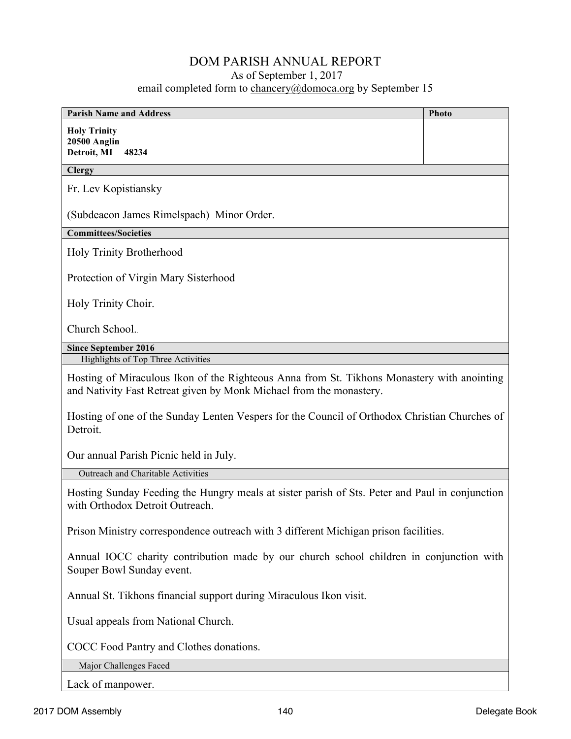| <b>Parish Name and Address</b>                                                                                                                                    | <b>Photo</b> |  |
|-------------------------------------------------------------------------------------------------------------------------------------------------------------------|--------------|--|
| <b>Holy Trinity</b><br>20500 Anglin<br>Detroit, MI<br>48234                                                                                                       |              |  |
| <b>Clergy</b>                                                                                                                                                     |              |  |
| Fr. Lev Kopistiansky                                                                                                                                              |              |  |
| (Subdeacon James Rimelspach) Minor Order.                                                                                                                         |              |  |
| <b>Committees/Societies</b>                                                                                                                                       |              |  |
| <b>Holy Trinity Brotherhood</b>                                                                                                                                   |              |  |
| Protection of Virgin Mary Sisterhood                                                                                                                              |              |  |
| Holy Trinity Choir.                                                                                                                                               |              |  |
| Church School.                                                                                                                                                    |              |  |
| <b>Since September 2016</b>                                                                                                                                       |              |  |
| Highlights of Top Three Activities                                                                                                                                |              |  |
| Hosting of Miraculous Ikon of the Righteous Anna from St. Tikhons Monastery with anointing<br>and Nativity Fast Retreat given by Monk Michael from the monastery. |              |  |
| Hosting of one of the Sunday Lenten Vespers for the Council of Orthodox Christian Churches of<br>Detroit.                                                         |              |  |
| Our annual Parish Picnic held in July.                                                                                                                            |              |  |
| Outreach and Charitable Activities                                                                                                                                |              |  |
| Hosting Sunday Feeding the Hungry meals at sister parish of Sts. Peter and Paul in conjunction<br>with Orthodox Detroit Outreach.                                 |              |  |
| Prison Ministry correspondence outreach with 3 different Michigan prison facilities.                                                                              |              |  |
| Annual IOCC charity contribution made by our church school children in conjunction with<br>Souper Bowl Sunday event.                                              |              |  |
| Annual St. Tikhons financial support during Miraculous Ikon visit.                                                                                                |              |  |
| Usual appeals from National Church.                                                                                                                               |              |  |
| COCC Food Pantry and Clothes donations.                                                                                                                           |              |  |
| Major Challenges Faced                                                                                                                                            |              |  |
| Lack of manpower.                                                                                                                                                 |              |  |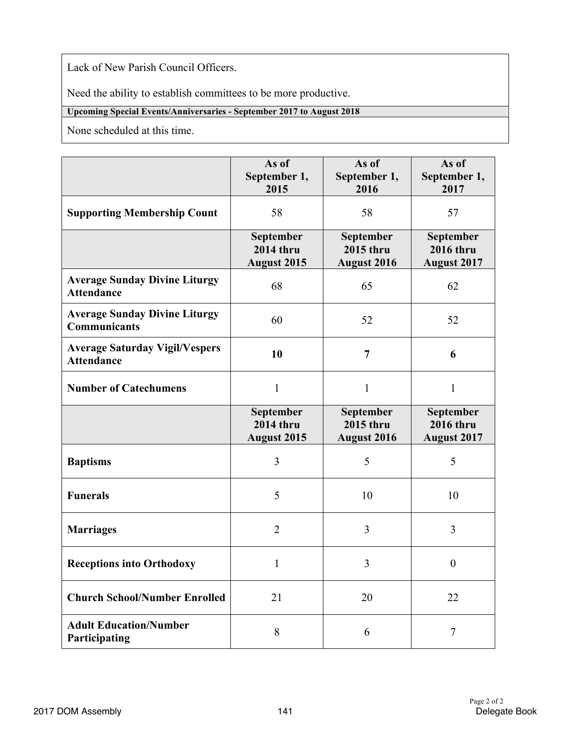Lack of New Parish Council Officers.

Need the ability to establish committees to be more productive.

### **Upcoming Special Events/Anniversaries - September 2017 to August 2018**

None scheduled at this time.

|                                                             | As of<br>September 1,<br>2015                       | As of<br>September 1,<br>2016                       | As of<br>September 1,<br>2017                       |
|-------------------------------------------------------------|-----------------------------------------------------|-----------------------------------------------------|-----------------------------------------------------|
| <b>Supporting Membership Count</b>                          | 58                                                  | 58                                                  | 57                                                  |
|                                                             | September<br><b>2014 thru</b><br><b>August 2015</b> | September<br><b>2015 thru</b><br><b>August 2016</b> | September<br><b>2016 thru</b><br><b>August 2017</b> |
| <b>Average Sunday Divine Liturgy</b><br><b>Attendance</b>   | 68                                                  | 65                                                  | 62                                                  |
| <b>Average Sunday Divine Liturgy</b><br><b>Communicants</b> | 60                                                  | 52                                                  | 52                                                  |
| <b>Average Saturday Vigil/Vespers</b><br><b>Attendance</b>  | 10                                                  | $\overline{7}$                                      | 6                                                   |
| <b>Number of Catechumens</b>                                | $\mathbf{1}$                                        | $\mathbf{1}$                                        | 1                                                   |
|                                                             | September<br><b>2014 thru</b><br><b>August 2015</b> | September<br><b>2015 thru</b><br><b>August 2016</b> | September<br><b>2016 thru</b><br><b>August 2017</b> |
| <b>Baptisms</b>                                             | 3                                                   | 5                                                   | 5                                                   |
| <b>Funerals</b>                                             | 5                                                   | 10                                                  | 10                                                  |
| <b>Marriages</b>                                            | $\overline{2}$                                      | 3                                                   | $\overline{3}$                                      |
| <b>Receptions into Orthodoxy</b>                            | 1                                                   | 3                                                   | $\boldsymbol{0}$                                    |
| <b>Church School/Number Enrolled</b>                        | 21                                                  | 20                                                  | 22                                                  |
| <b>Adult Education/Number</b><br>Participating              | 8                                                   | 6                                                   | 7                                                   |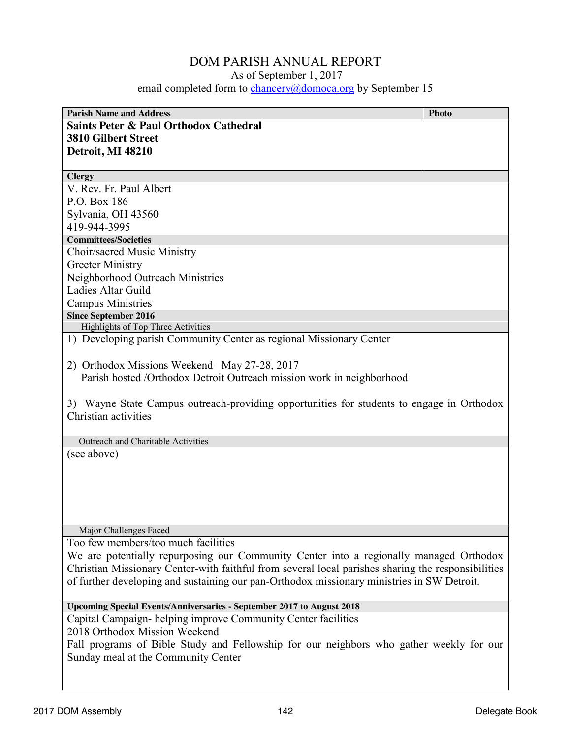## DOM PARISH ANNUAL REPORT

As of September 1, 2017

email completed form to chancery@domoca.org by September 15

| <b>Parish Name and Address</b>                                                                                          | <b>Photo</b> |  |  |
|-------------------------------------------------------------------------------------------------------------------------|--------------|--|--|
| <b>Saints Peter &amp; Paul Orthodox Cathedral</b>                                                                       |              |  |  |
| <b>3810 Gilbert Street</b>                                                                                              |              |  |  |
| Detroit, MI 48210                                                                                                       |              |  |  |
|                                                                                                                         |              |  |  |
| <b>Clergy</b>                                                                                                           |              |  |  |
| V. Rev. Fr. Paul Albert                                                                                                 |              |  |  |
| P.O. Box 186                                                                                                            |              |  |  |
| Sylvania, OH 43560                                                                                                      |              |  |  |
| 419-944-3995                                                                                                            |              |  |  |
| <b>Committees/Societies</b>                                                                                             |              |  |  |
| Choir/sacred Music Ministry                                                                                             |              |  |  |
| <b>Greeter Ministry</b>                                                                                                 |              |  |  |
| Neighborhood Outreach Ministries                                                                                        |              |  |  |
| Ladies Altar Guild                                                                                                      |              |  |  |
| <b>Campus Ministries</b>                                                                                                |              |  |  |
| <b>Since September 2016</b>                                                                                             |              |  |  |
| Highlights of Top Three Activities                                                                                      |              |  |  |
| 1) Developing parish Community Center as regional Missionary Center                                                     |              |  |  |
| 2) Orthodox Missions Weekend – May 27-28, 2017<br>Parish hosted /Orthodox Detroit Outreach mission work in neighborhood |              |  |  |
| 3) Wayne State Campus outreach-providing opportunities for students to engage in Orthodox<br>Christian activities       |              |  |  |
|                                                                                                                         |              |  |  |
| Outreach and Charitable Activities                                                                                      |              |  |  |
| (see above)                                                                                                             |              |  |  |
|                                                                                                                         |              |  |  |
|                                                                                                                         |              |  |  |
|                                                                                                                         |              |  |  |
|                                                                                                                         |              |  |  |
|                                                                                                                         |              |  |  |
| Major Challenges Faced                                                                                                  |              |  |  |
| Too few members/too much facilities                                                                                     |              |  |  |
| We are potentially repurposing our Community Center into a regionally managed Orthodox                                  |              |  |  |
| Christian Missionary Center-with faithful from several local parishes sharing the responsibilities                      |              |  |  |
| of further developing and sustaining our pan-Orthodox missionary ministries in SW Detroit.                              |              |  |  |
| <b>Upcoming Special Events/Anniversaries - September 2017 to August 2018</b>                                            |              |  |  |
| Capital Campaign-helping improve Community Center facilities                                                            |              |  |  |
| 2018 Orthodox Mission Weekend                                                                                           |              |  |  |
| Fall programs of Bible Study and Fellowship for our neighbors who gather weekly for our                                 |              |  |  |
| Sunday meal at the Community Center                                                                                     |              |  |  |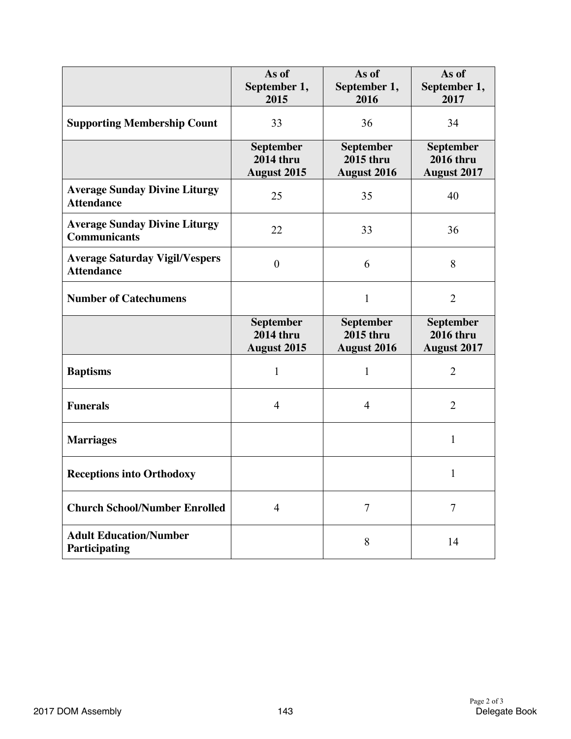|                                                             | As of<br>September 1,<br>2015                              | As of<br>September 1,<br>2016                       | As of<br>September 1,<br>2017                              |
|-------------------------------------------------------------|------------------------------------------------------------|-----------------------------------------------------|------------------------------------------------------------|
| <b>Supporting Membership Count</b>                          | 33                                                         | 36                                                  | 34                                                         |
|                                                             | <b>September</b><br><b>2014 thru</b><br><b>August 2015</b> | <b>September</b><br>2015 thru<br><b>August 2016</b> | <b>September</b><br><b>2016 thru</b><br><b>August 2017</b> |
| <b>Average Sunday Divine Liturgy</b><br><b>Attendance</b>   | 25                                                         | 35                                                  | 40                                                         |
| <b>Average Sunday Divine Liturgy</b><br><b>Communicants</b> | 22                                                         | 33                                                  | 36                                                         |
| <b>Average Saturday Vigil/Vespers</b><br><b>Attendance</b>  | $\boldsymbol{0}$                                           | 6                                                   | 8                                                          |
| <b>Number of Catechumens</b>                                |                                                            | $\mathbf{1}$                                        | $\overline{2}$                                             |
|                                                             | <b>September</b><br><b>2014 thru</b><br><b>August 2015</b> | <b>September</b><br>2015 thru<br><b>August 2016</b> | <b>September</b><br><b>2016 thru</b><br>August 2017        |
| <b>Baptisms</b>                                             | 1                                                          | 1                                                   | $\overline{2}$                                             |
| <b>Funerals</b>                                             | $\overline{4}$                                             | $\overline{4}$                                      | $\overline{2}$                                             |
| <b>Marriages</b>                                            |                                                            |                                                     | $\mathbf{1}$                                               |
| <b>Receptions into Orthodoxy</b>                            |                                                            |                                                     | 1                                                          |
| <b>Church School/Number Enrolled</b>                        | $\overline{4}$                                             | $\overline{7}$                                      | $\overline{7}$                                             |
| <b>Adult Education/Number</b><br>Participating              |                                                            | 8                                                   | 14                                                         |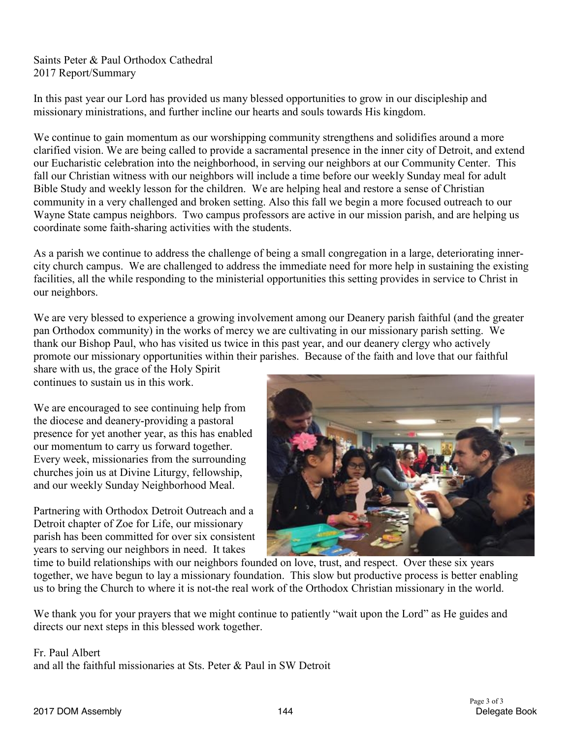Saints Peter & Paul Orthodox Cathedral 2017 Report/Summary

In this past year our Lord has provided us many blessed opportunities to grow in our discipleship and missionary ministrations, and further incline our hearts and souls towards His kingdom.

We continue to gain momentum as our worshipping community strengthens and solidifies around a more clarified vision. We are being called to provide a sacramental presence in the inner city of Detroit, and extend our Eucharistic celebration into the neighborhood, in serving our neighbors at our Community Center. This fall our Christian witness with our neighbors will include a time before our weekly Sunday meal for adult Bible Study and weekly lesson for the children. We are helping heal and restore a sense of Christian community in a very challenged and broken setting. Also this fall we begin a more focused outreach to our Wayne State campus neighbors. Two campus professors are active in our mission parish, and are helping us coordinate some faith-sharing activities with the students.

As a parish we continue to address the challenge of being a small congregation in a large, deteriorating innercity church campus. We are challenged to address the immediate need for more help in sustaining the existing facilities, all the while responding to the ministerial opportunities this setting provides in service to Christ in our neighbors.

We are very blessed to experience a growing involvement among our Deanery parish faithful (and the greater pan Orthodox community) in the works of mercy we are cultivating in our missionary parish setting. We thank our Bishop Paul, who has visited us twice in this past year, and our deanery clergy who actively promote our missionary opportunities within their parishes. Because of the faith and love that our faithful

share with us, the grace of the Holy Spirit continues to sustain us in this work.

We are encouraged to see continuing help from the diocese and deanery-providing a pastoral presence for yet another year, as this has enabled our momentum to carry us forward together. Every week, missionaries from the surrounding churches join us at Divine Liturgy, fellowship, and our weekly Sunday Neighborhood Meal.

Partnering with Orthodox Detroit Outreach and a Detroit chapter of Zoe for Life, our missionary parish has been committed for over six consistent years to serving our neighbors in need. It takes



time to build relationships with our neighbors founded on love, trust, and respect. Over these six years together, we have begun to lay a missionary foundation. This slow but productive process is better enabling us to bring the Church to where it is not-the real work of the Orthodox Christian missionary in the world.

We thank you for your prayers that we might continue to patiently "wait upon the Lord" as He guides and directs our next steps in this blessed work together.

Fr. Paul Albert and all the faithful missionaries at Sts. Peter & Paul in SW Detroit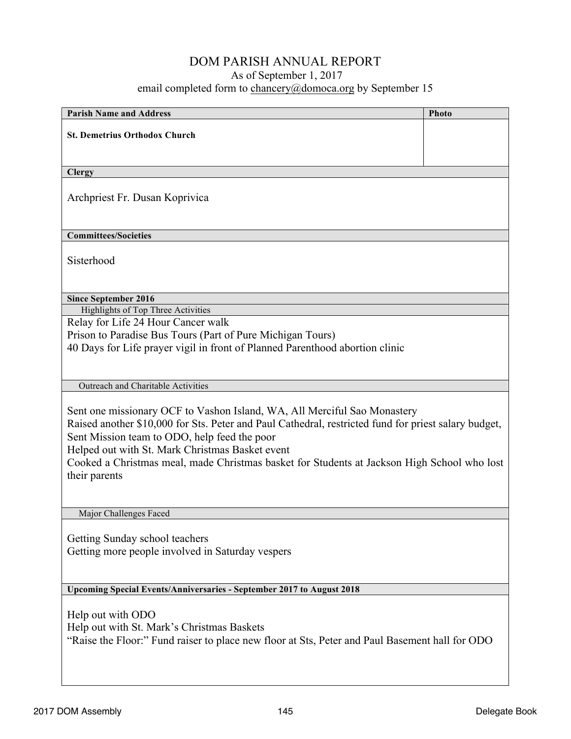| <b>Parish Name and Address</b>                                                                                                                                                                                                                                                                                                                                                                      | Photo |  |
|-----------------------------------------------------------------------------------------------------------------------------------------------------------------------------------------------------------------------------------------------------------------------------------------------------------------------------------------------------------------------------------------------------|-------|--|
| <b>St. Demetrius Orthodox Church</b>                                                                                                                                                                                                                                                                                                                                                                |       |  |
|                                                                                                                                                                                                                                                                                                                                                                                                     |       |  |
|                                                                                                                                                                                                                                                                                                                                                                                                     |       |  |
| <b>Clergy</b>                                                                                                                                                                                                                                                                                                                                                                                       |       |  |
| Archpriest Fr. Dusan Koprivica                                                                                                                                                                                                                                                                                                                                                                      |       |  |
| <b>Committees/Societies</b>                                                                                                                                                                                                                                                                                                                                                                         |       |  |
| Sisterhood                                                                                                                                                                                                                                                                                                                                                                                          |       |  |
| <b>Since September 2016</b>                                                                                                                                                                                                                                                                                                                                                                         |       |  |
| Highlights of Top Three Activities                                                                                                                                                                                                                                                                                                                                                                  |       |  |
| Relay for Life 24 Hour Cancer walk                                                                                                                                                                                                                                                                                                                                                                  |       |  |
| Prison to Paradise Bus Tours (Part of Pure Michigan Tours)                                                                                                                                                                                                                                                                                                                                          |       |  |
| 40 Days for Life prayer vigil in front of Planned Parenthood abortion clinic                                                                                                                                                                                                                                                                                                                        |       |  |
|                                                                                                                                                                                                                                                                                                                                                                                                     |       |  |
| Outreach and Charitable Activities                                                                                                                                                                                                                                                                                                                                                                  |       |  |
|                                                                                                                                                                                                                                                                                                                                                                                                     |       |  |
| Sent one missionary OCF to Vashon Island, WA, All Merciful Sao Monastery<br>Raised another \$10,000 for Sts. Peter and Paul Cathedral, restricted fund for priest salary budget,<br>Sent Mission team to ODO, help feed the poor<br>Helped out with St. Mark Christmas Basket event<br>Cooked a Christmas meal, made Christmas basket for Students at Jackson High School who lost<br>their parents |       |  |
| Major Challenges Faced                                                                                                                                                                                                                                                                                                                                                                              |       |  |
|                                                                                                                                                                                                                                                                                                                                                                                                     |       |  |
| Getting Sunday school teachers                                                                                                                                                                                                                                                                                                                                                                      |       |  |
| Getting more people involved in Saturday vespers                                                                                                                                                                                                                                                                                                                                                    |       |  |
|                                                                                                                                                                                                                                                                                                                                                                                                     |       |  |
|                                                                                                                                                                                                                                                                                                                                                                                                     |       |  |
| Upcoming Special Events/Anniversaries - September 2017 to August 2018                                                                                                                                                                                                                                                                                                                               |       |  |
| Help out with ODO<br>Help out with St. Mark's Christmas Baskets<br>"Raise the Floor:" Fund raiser to place new floor at Sts, Peter and Paul Basement hall for ODO                                                                                                                                                                                                                                   |       |  |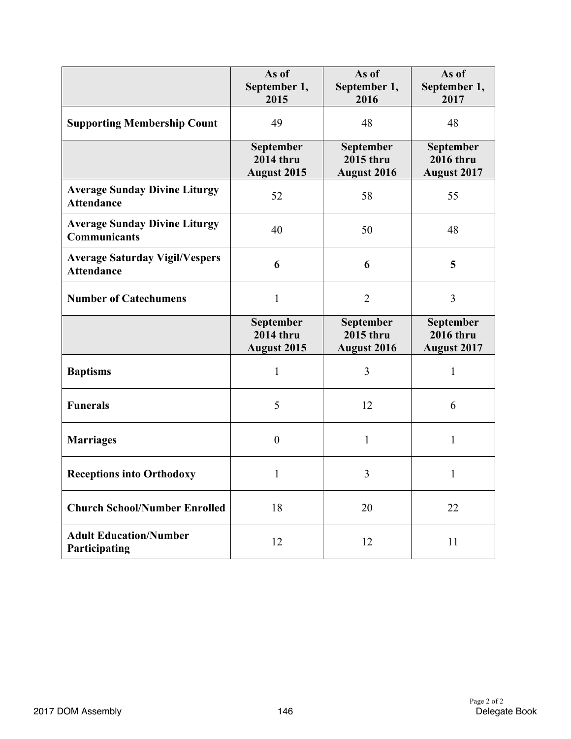|                                                             | As of<br>September 1,<br>2015                       | As of<br>September 1,<br>2016                | As of<br>September 1,<br>2017                       |
|-------------------------------------------------------------|-----------------------------------------------------|----------------------------------------------|-----------------------------------------------------|
| <b>Supporting Membership Count</b>                          | 49                                                  | 48                                           | 48                                                  |
|                                                             | September<br><b>2014 thru</b><br><b>August 2015</b> | September<br><b>2015 thru</b><br>August 2016 | September<br><b>2016 thru</b><br>August 2017        |
| <b>Average Sunday Divine Liturgy</b><br><b>Attendance</b>   | 52                                                  | 58                                           | 55                                                  |
| <b>Average Sunday Divine Liturgy</b><br><b>Communicants</b> | 40                                                  | 50                                           | 48                                                  |
| <b>Average Saturday Vigil/Vespers</b><br><b>Attendance</b>  | 6                                                   | 6                                            | 5                                                   |
| <b>Number of Catechumens</b>                                | 1                                                   | $\overline{2}$                               | 3                                                   |
|                                                             | September<br><b>2014 thru</b><br><b>August 2015</b> | September<br>2015 thru<br>August 2016        | September<br><b>2016 thru</b><br><b>August 2017</b> |
| <b>Baptisms</b>                                             | 1                                                   | 3                                            | 1                                                   |
| <b>Funerals</b>                                             | 5                                                   | 12                                           | 6                                                   |
| <b>Marriages</b>                                            | $\boldsymbol{0}$                                    | 1                                            | $\mathbf{1}$                                        |
| <b>Receptions into Orthodoxy</b>                            | 1                                                   | 3                                            | 1                                                   |
| <b>Church School/Number Enrolled</b>                        | 18                                                  | 20                                           | 22                                                  |
| <b>Adult Education/Number</b><br>Participating              | 12                                                  | 12                                           | 11                                                  |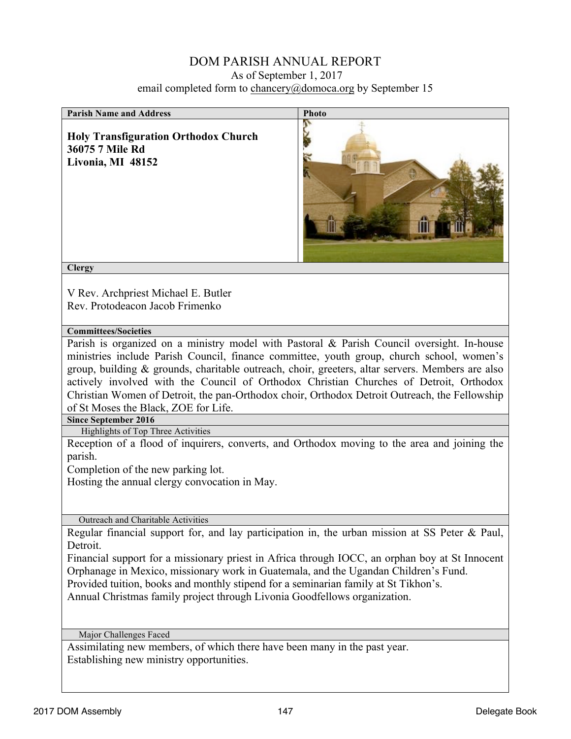#### **Parish Name and Address Photo**

**Holy Transfiguration Orthodox Church 36075 7 Mile Rd Livonia, MI 48152**



#### **Clergy**

V Rev. Archpriest Michael E. Butler Rev. Protodeacon Jacob Frimenko

#### **Committees/Societies**

Parish is organized on a ministry model with Pastoral & Parish Council oversight. In-house ministries include Parish Council, finance committee, youth group, church school, women's group, building & grounds, charitable outreach, choir, greeters, altar servers. Members are also actively involved with the Council of Orthodox Christian Churches of Detroit, Orthodox Christian Women of Detroit, the pan-Orthodox choir, Orthodox Detroit Outreach, the Fellowship of St Moses the Black, ZOE for Life.

#### **Since September 2016**

Highlights of Top Three Activities

Reception of a flood of inquirers, converts, and Orthodox moving to the area and joining the parish.

Completion of the new parking lot.

Hosting the annual clergy convocation in May.

Outreach and Charitable Activities

Regular financial support for, and lay participation in, the urban mission at SS Peter & Paul, Detroit.

Financial support for a missionary priest in Africa through IOCC, an orphan boy at St Innocent Orphanage in Mexico, missionary work in Guatemala, and the Ugandan Children's Fund. Provided tuition, books and monthly stipend for a seminarian family at St Tikhon's.

Annual Christmas family project through Livonia Goodfellows organization.

Major Challenges Faced

Assimilating new members, of which there have been many in the past year. Establishing new ministry opportunities.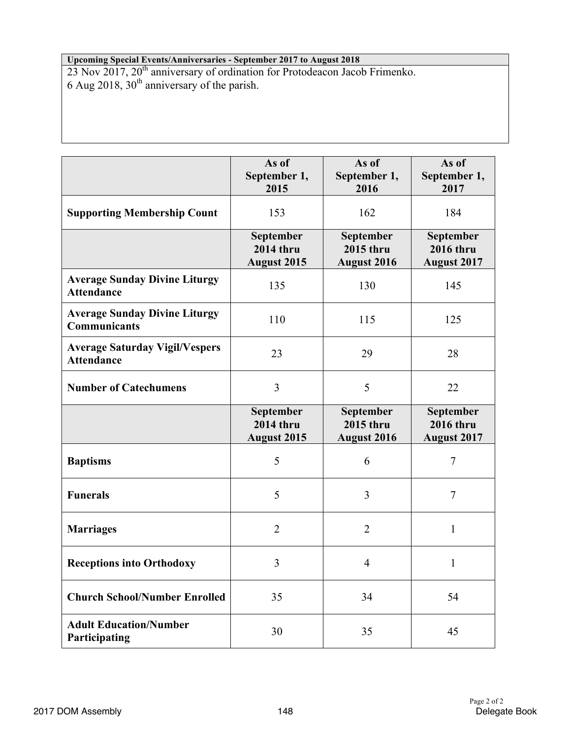**Upcoming Special Events/Anniversaries - September 2017 to August 2018** 23 Nov 2017, 20<sup>th</sup> anniversary of ordination for Protodeacon Jacob Frimenko. 6 Aug 2018,  $30<sup>th</sup>$  anniversary of the parish.

|                                                             | As of<br>September 1,<br>2015                       | As of<br>September 1,<br>2016                       | As of<br>September 1,<br>2017                       |
|-------------------------------------------------------------|-----------------------------------------------------|-----------------------------------------------------|-----------------------------------------------------|
| <b>Supporting Membership Count</b>                          | 153                                                 | 162                                                 | 184                                                 |
|                                                             | September<br><b>2014 thru</b><br><b>August 2015</b> | September<br><b>2015 thru</b><br><b>August 2016</b> | September<br><b>2016 thru</b><br><b>August 2017</b> |
| <b>Average Sunday Divine Liturgy</b><br><b>Attendance</b>   | 135                                                 | 130                                                 | 145                                                 |
| <b>Average Sunday Divine Liturgy</b><br><b>Communicants</b> | 110                                                 | 115                                                 | 125                                                 |
| <b>Average Saturday Vigil/Vespers</b><br><b>Attendance</b>  | 23                                                  | 29                                                  | 28                                                  |
| <b>Number of Catechumens</b>                                | 3                                                   | 5                                                   | 22                                                  |
|                                                             | September<br><b>2014 thru</b><br><b>August 2015</b> | September<br>2015 thru<br><b>August 2016</b>        | September<br><b>2016 thru</b><br><b>August 2017</b> |
| <b>Baptisms</b>                                             | 5                                                   | 6                                                   | $\overline{7}$                                      |
| <b>Funerals</b>                                             | 5                                                   | 3                                                   | $\tau$                                              |
| <b>Marriages</b>                                            | $\overline{2}$                                      | $\overline{2}$                                      | 1                                                   |
|                                                             |                                                     |                                                     |                                                     |
| <b>Receptions into Orthodoxy</b>                            | 3                                                   | $\overline{4}$                                      | 1                                                   |
| <b>Church School/Number Enrolled</b>                        | 35                                                  | 34                                                  | 54                                                  |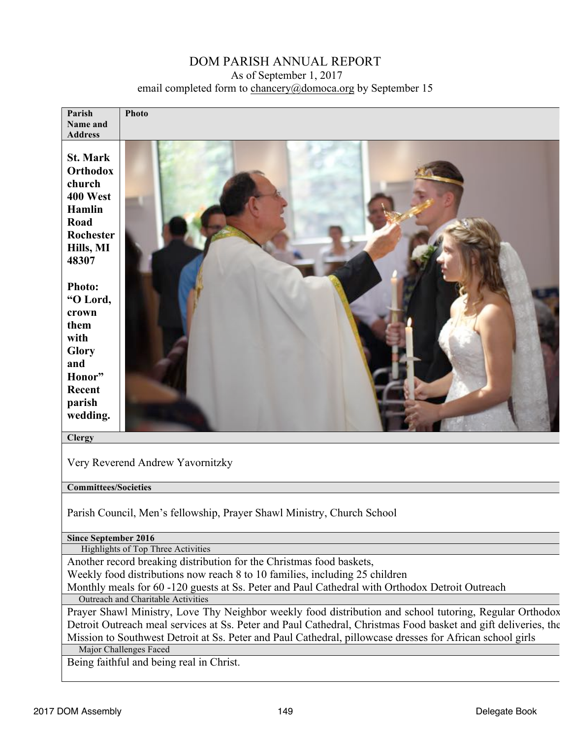| Parish<br>Name and<br><b>Address</b>                                                                                                                                                                                                                  | <b>Photo</b>                                                                                                   |
|-------------------------------------------------------------------------------------------------------------------------------------------------------------------------------------------------------------------------------------------------------|----------------------------------------------------------------------------------------------------------------|
| <b>St. Mark</b><br>Orthodox<br>church<br><b>400 West</b><br>Hamlin<br>Road<br>Rochester<br>Hills, MI<br>48307<br><b>Photo:</b><br>"O Lord,<br>crown<br>them<br>with<br><b>Glory</b><br>and<br>Honor"<br>Recent<br>parish<br>wedding.<br><b>Clergy</b> |                                                                                                                |
|                                                                                                                                                                                                                                                       | Very Reverend Andrew Yavornitzky                                                                               |
| <b>Committees/Societies</b>                                                                                                                                                                                                                           |                                                                                                                |
|                                                                                                                                                                                                                                                       | Parish Council, Men's fellowship, Prayer Shawl Ministry, Church School                                         |
| <b>Since September 2016</b>                                                                                                                                                                                                                           |                                                                                                                |
|                                                                                                                                                                                                                                                       | Highlights of Top Three Activities                                                                             |
|                                                                                                                                                                                                                                                       | Another record breaking distribution for the Christmas food baskets,                                           |
|                                                                                                                                                                                                                                                       | Weekly food distributions now reach 8 to 10 families, including 25 children                                    |
|                                                                                                                                                                                                                                                       | Monthly meals for 60 -120 guests at Ss. Peter and Paul Cathedral with Orthodox Detroit Outreach                |
|                                                                                                                                                                                                                                                       | Outreach and Charitable Activities                                                                             |
|                                                                                                                                                                                                                                                       | Prayer Shawl Ministry, Love Thy Neighbor weekly food distribution and school tutoring, Regular Orthodox        |
|                                                                                                                                                                                                                                                       | Detroit Outreach meal services at Ss. Peter and Paul Cathedral, Christmas Food basket and gift deliveries, the |
|                                                                                                                                                                                                                                                       | Mission to Southwest Detroit at Ss. Peter and Paul Cathedral, pillowcase dresses for African school girls      |

Major Challenges Faced

Being faithful and being real in Christ.